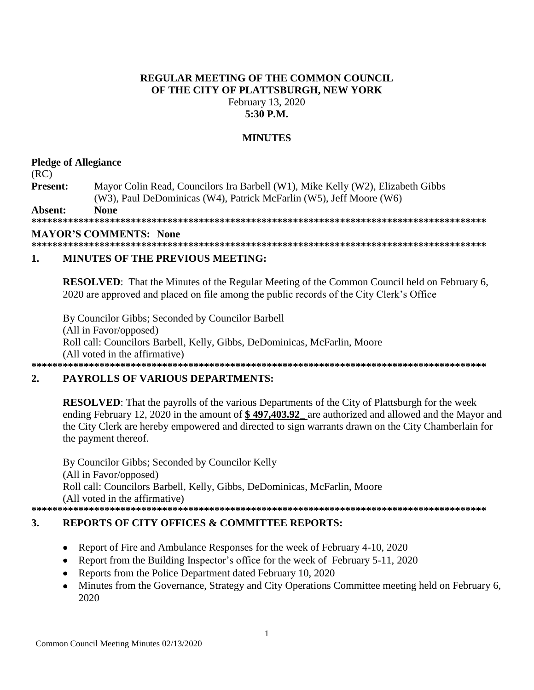### **REGULAR MEETING OF THE COMMON COUNCIL** OF THE CITY OF PLATTSBURGH, NEW YORK February 13, 2020  $5:30$  P.M.

# **MINUTES**

## **Pledge of Allegiance**

 $(RC)$ 

Present: Mayor Colin Read, Councilors Ira Barbell (W1), Mike Kelly (W2), Elizabeth Gibbs (W3), Paul DeDominicas (W4), Patrick McFarlin (W5), Jeff Moore (W6)

**None** Absent:

### **MAYOR'S COMMENTS: None**

#### **MINUTES OF THE PREVIOUS MEETING:**  $\mathbf{1}$

**RESOLVED:** That the Minutes of the Regular Meeting of the Common Council held on February 6, 2020 are approved and placed on file among the public records of the City Clerk's Office

By Councilor Gibbs; Seconded by Councilor Barbell (All in Favor/opposed) Roll call: Councilors Barbell, Kelly, Gibbs, DeDominicas, McFarlin, Moore (All voted in the affirmative) 

### $\overline{2}$ . **PAYROLLS OF VARIOUS DEPARTMENTS:**

**RESOLVED:** That the payrolls of the various Departments of the City of Plattsburgh for the week ending February 12, 2020 in the amount of \$497,403.92 are authorized and allowed and the Mayor and the City Clerk are hereby empowered and directed to sign warrants drawn on the City Chamberlain for the payment thereof.

By Councilor Gibbs; Seconded by Councilor Kelly (All in Favor/opposed) Roll call: Councilors Barbell, Kelly, Gibbs, DeDominicas, McFarlin, Moore (All voted in the affirmative) 

### **REPORTS OF CITY OFFICES & COMMITTEE REPORTS:** 3.

- Report of Fire and Ambulance Responses for the week of February 4-10, 2020  $\bullet$
- Report from the Building Inspector's office for the week of February 5-11, 2020
- Reports from the Police Department dated February 10, 2020
- Minutes from the Governance, Strategy and City Operations Committee meeting held on February 6,  $\bullet$ 2020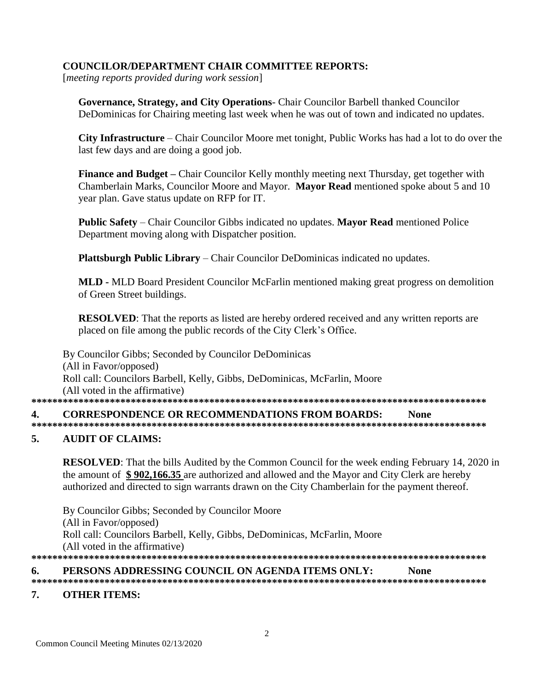# **COUNCILOR/DEPARTMENT CHAIR COMMITTEE REPORTS:**

[meeting reports provided during work session]

**Governance, Strategy, and City Operations-** Chair Councilor Barbell thanked Councilor DeDominicas for Chairing meeting last week when he was out of town and indicated no updates.

**City Infrastructure** – Chair Councilor Moore met tonight, Public Works has had a lot to do over the last few days and are doing a good job.

**Finance and Budget** – Chair Councilor Kelly monthly meeting next Thursday, get together with Chamberlain Marks, Councilor Moore and Mayor. Mayor Read mentioned spoke about 5 and 10 year plan. Gave status update on RFP for IT.

Public Safety – Chair Councilor Gibbs indicated no updates. Mayor Read mentioned Police Department moving along with Dispatcher position.

**Plattsburgh Public Library** – Chair Councilor DeDominicas indicated no updates.

**MLD** - MLD Board President Councilor McFarlin mentioned making great progress on demolition of Green Street buildings.

**RESOLVED:** That the reports as listed are hereby ordered received and any written reports are placed on file among the public records of the City Clerk's Office.

By Councilor Gibbs; Seconded by Councilor DeDominicas (All in Favor/opposed) Roll call: Councilors Barbell, Kelly, Gibbs, DeDominicas, McFarlin, Moore (All voted in the affirmative) 

 $\mathbf{4}$ . **CORRESPONDENCE OR RECOMMENDATIONS FROM BOARDS: None** 

### 5. **AUDIT OF CLAIMS:**

**RESOLVED:** That the bills Audited by the Common Council for the week ending February 14, 2020 in the amount of \$902,166.35 are authorized and allowed and the Mayor and City Clerk are hereby authorized and directed to sign warrants drawn on the City Chamberlain for the payment thereof.

By Councilor Gibbs; Seconded by Councilor Moore (All in Favor/opposed) Roll call: Councilors Barbell, Kelly, Gibbs, DeDominicas, McFarlin, Moore (All voted in the affirmative) 

PERSONS ADDRESSING COUNCIL ON AGENDA ITEMS ONLY: 6. **None** 

### **OTHER ITEMS:** 7.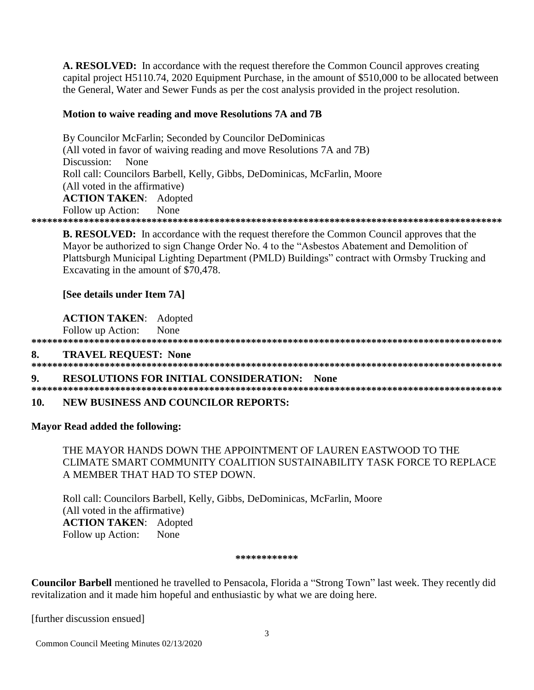A. RESOLVED: In accordance with the request therefore the Common Council approves creating capital project H5110.74, 2020 Equipment Purchase, in the amount of \$510,000 to be allocated between the General, Water and Sewer Funds as per the cost analysis provided in the project resolution.

### Motion to waive reading and move Resolutions 7A and 7B

By Councilor McFarlin; Seconded by Councilor DeDominicas (All voted in favor of waiving reading and move Resolutions 7A and 7B) Discussion: None Roll call: Councilors Barbell, Kelly, Gibbs, DeDominicas, McFarlin, Moore (All voted in the affirmative) **ACTION TAKEN:** Adopted None Follow up Action: 

**B. RESOLVED:** In accordance with the request therefore the Common Council approves that the Mayor be authorized to sign Change Order No. 4 to the "Asbestos Abatement and Demolition of Plattsburgh Municipal Lighting Department (PMLD) Buildings" contract with Ormsby Trucking and Excavating in the amount of \$70,478.

### [See details under Item 7A]

**ACTION TAKEN:** Adopted

None Follow up Action:

#### 8. **TRAVEL REOUEST: None**

 $9<sub>l</sub>$ **RESOLUTIONS FOR INITIAL CONSIDERATION: None** 

#### **NEW BUSINESS AND COUNCILOR REPORTS:** 10.

### **Mayor Read added the following:**

# THE MAYOR HANDS DOWN THE APPOINTMENT OF LAUREN EASTWOOD TO THE CLIMATE SMART COMMUNITY COALITION SUSTAINABILITY TASK FORCE TO REPLACE A MEMBER THAT HAD TO STEP DOWN.

Roll call: Councilors Barbell, Kelly, Gibbs, DeDominicas, McFarlin, Moore (All voted in the affirmative) **ACTION TAKEN: Adopted** Follow up Action: None

### \*\*\*\*\*\*\*\*\*\*\*\*

Councilor Barbell mentioned he travelled to Pensacola, Florida a "Strong Town" last week. They recently did revitalization and it made him hopeful and enthusiastic by what we are doing here.

[further discussion ensued]

Common Council Meeting Minutes 02/13/2020